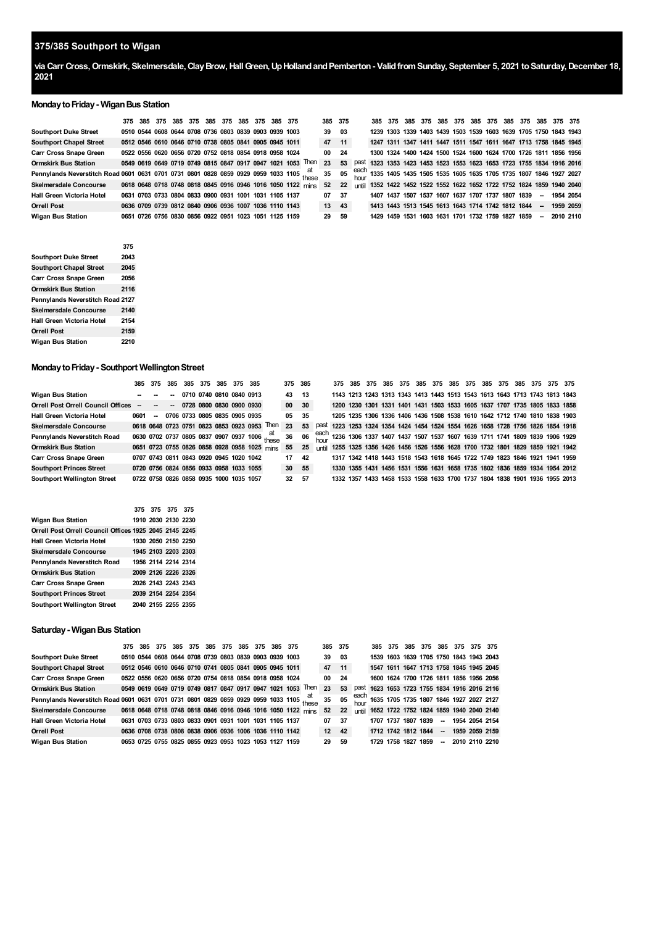# **375/385 Southport to Wigan**

**via Carr Cross,Ormskirk, Skelmersdale,ClayBrow,HallGreen,UpHollandandPemberton- ValidfromSunday, September 5, 2021 toSaturday,December 18,** 

#### **MondaytoFriday- WiganBus Station**

|                                                                                    |  |  |  | 375 385 375 385 375 385 375 385 375 385 375            |  |                                                             | 385 375 |     |      |                                                   |  |  |  |  |                          | 385 375 385 375 385 375 385 375 385 375 385 375 385 375                |  |
|------------------------------------------------------------------------------------|--|--|--|--------------------------------------------------------|--|-------------------------------------------------------------|---------|-----|------|---------------------------------------------------|--|--|--|--|--------------------------|------------------------------------------------------------------------|--|
| <b>Southport Duke Street</b>                                                       |  |  |  | 0510 0544 0608 0644 0708 0736 0803 0839 0903 0939 1003 |  |                                                             | 39      | 03  |      |                                                   |  |  |  |  |                          | 1239 1303 1339 1403 1439 1503 1539 1603 1639 1705 1750 1843 1943       |  |
| <b>Southport Chapel Street</b>                                                     |  |  |  | 0512 0546 0610 0646 0710 0738 0805 0841 0905 0945 1011 |  |                                                             | 47      | 11  |      |                                                   |  |  |  |  |                          | 1247 1311 1347 1411 1447 1511 1547 1611 1647 1713 1758 1845 1945       |  |
| <b>Carr Cross Snape Green</b>                                                      |  |  |  | 0522 0556 0620 0656 0720 0752 0818 0854 0918 0958 1024 |  |                                                             | 00      | -24 |      |                                                   |  |  |  |  |                          | 1300 1324 1400 1424 1500 1524 1600 1624 1700 1726 1811 1856 1956       |  |
| <b>Ormskirk Bus Station</b>                                                        |  |  |  |                                                        |  | 0549 0619 0649 0719 0749 0815 0847 0917 0947 1021 1053 Then | 23      | 53  | past |                                                   |  |  |  |  |                          | 1323 1353 1423 1453 1523 1553 1623 1653 1723 1755 1834 1916 2016       |  |
| Pennylands Neverstitch Road 0601 0631 0701 0731 0801 0828 0859 0929 0959 1033 1105 |  |  |  |                                                        |  |                                                             | 35      | 05  |      |                                                   |  |  |  |  |                          | each 1335 1405 1435 1505 1535 1605 1635 1705 1735 1807 1846 1927 2027  |  |
| <b>Skelmersdale Concourse</b>                                                      |  |  |  |                                                        |  | 0618 0648 0718 0748 0818 0845 0916 0946 1016 1050 1122 mins | 52      | 22  |      |                                                   |  |  |  |  |                          | until 1352 1422 1452 1522 1552 1622 1652 1722 1752 1824 1859 1940 2040 |  |
| Hall Green Victoria Hotel                                                          |  |  |  | 0631 0703 0733 0804 0833 0900 0931 1001 1031 1105 1137 |  |                                                             | 07      | 37  |      | 1407 1437 1507 1537 1607 1637 1707 1737 1807 1839 |  |  |  |  | $\overline{\phantom{a}}$ | 1954 2054                                                              |  |
| <b>Orrell Post</b>                                                                 |  |  |  | 0636 0709 0739 0812 0840 0906 0936 1007 1036 1110 1143 |  |                                                             | 13      | 43  |      | 1413 1443 1513 1545 1613 1643 1714 1742 1812 1844 |  |  |  |  | $\overline{\phantom{a}}$ | 1959 2059                                                              |  |
| <b>Wigan Bus Station</b>                                                           |  |  |  | 0651 0726 0756 0830 0856 0922 0951 1023 1051 1125 1159 |  |                                                             | 29      | 59  |      | 1429 1459 1531 1603 1631 1701 1732 1759 1827 1859 |  |  |  |  | $\sim$                   | 2010 2110                                                              |  |

|                                  | 375  |
|----------------------------------|------|
| <b>Southport Duke Street</b>     | 2043 |
| <b>Southport Chapel Street</b>   | 2045 |
| <b>Carr Cross Snape Green</b>    | 2056 |
| Ormskirk Bus Station             | 2116 |
| Pennylands Neverstitch Road 2127 |      |
| <b>Skelmersdale Concourse</b>    | 2140 |
| Hall Green Victoria Hotel        | 2154 |
| <b>Orrell Post</b>               | 2159 |
| Wigan Bus Station                | 2210 |

# **Monday to Friday - Southport Wellington Street**

|                                           |      |                  |                          | 385 375 385 385 375 385 375 385         |  |                                              |                                              | 375 385 |     |  | 375 385 |  |  |  |  |  | 375 385 375 385 375 385 375 385 375 385 375 375 375 375                          |  |
|-------------------------------------------|------|------------------|--------------------------|-----------------------------------------|--|----------------------------------------------|----------------------------------------------|---------|-----|--|---------|--|--|--|--|--|----------------------------------------------------------------------------------|--|
| <b>Wigan Bus Station</b>                  |      |                  | $\overline{\phantom{a}}$ | 0710 0740 0810 0840 0913                |  |                                              |                                              | 43 13   |     |  |         |  |  |  |  |  | 1143 1213 1243 1313 1343 1413 1443 1513 1543 1613 1643 1713 1743 1813 1843       |  |
| <b>Orrell Post Orrell Council Offices</b> | $-$  | $\sim$ 100 $\pm$ |                          |                                         |  | $-07280800083009000330$                      |                                              | 00 30   |     |  |         |  |  |  |  |  | 1200 1230 1301 1331 1401 1431 1503 1533 1605 1637 1707 1735 1805 1833 1858       |  |
| <b>Hall Green Victoria Hotel</b>          | 0601 | $\sim$           |                          | 0706 0733 0805 0835 0905 0935           |  |                                              |                                              | 05 35   |     |  |         |  |  |  |  |  | 1205 1235 1306 1336 1406 1436 1508 1538 1610 1642 1712 1740 1810 1838 1903       |  |
| <b>Skelmersdale Concourse</b>             |      |                  |                          |                                         |  |                                              | 0618 0648 0723 0751 0823 0853 0923 0953 Then | 23      | 53  |  |         |  |  |  |  |  | past 1223 1253 1324 1354 1424 1454 1524 1554 1626 1658 1728 1756 1826 1854 1918  |  |
| Pennylands Neverstitch Road               |      |                  |                          |                                         |  | 0630 0702 0737 0805 0837 0907 0937 1006      |                                              | 36      | 06  |  |         |  |  |  |  |  | each 1236 1306 1337 1407 1437 1507 1537 1607 1639 1711 1741 1809 1839 1906 1929  |  |
| <b>Ormskirk Bus Station</b>               |      |                  |                          |                                         |  | 0651 0723 0755 0826 0858 0928 0958 1025 mins |                                              | 55      | 25  |  |         |  |  |  |  |  | until 1255 1325 1356 1426 1456 1526 1556 1628 1700 1732 1801 1829 1859 1921 1942 |  |
| <b>Carr Cross Snape Green</b>             |      |                  |                          | 0707 0743 0811 0843 0920 0945 1020 1042 |  |                                              |                                              | 17      | -42 |  |         |  |  |  |  |  | 1317 1342 1418 1443 1518 1543 1618 1645 1722 1749 1823 1846 1921 1941 1959       |  |
| <b>Southport Princes Street</b>           |      |                  |                          |                                         |  | 0720 0756 0824 0856 0933 0958 1033 1055      |                                              | 30 55   |     |  |         |  |  |  |  |  | 1330 1355 1431 1456 1531 1556 1631 1658 1735 1802 1836 1859 1934 1954 2012       |  |
| <b>Southport Wellington Street</b>        |      |                  |                          | 0722 0758 0826 0858 0935 1000 1035 1057 |  |                                              |                                              | 32 57   |     |  |         |  |  |  |  |  | 1332 1357 1433 1458 1533 1558 1633 1700 1737 1804 1838 1901 1936 1955 2013       |  |

|                                                        | 375 375 375 375     |  |
|--------------------------------------------------------|---------------------|--|
| Wigan Bus Station                                      | 1910 2030 2130 2230 |  |
| Orrell Post Orrell Council Offices 1925 2045 2145 2245 |                     |  |
| Hall Green Victoria Hotel                              | 1930 2050 2150 2250 |  |
| <b>Skelmersdale Concourse</b>                          | 1945 2103 2203 2303 |  |
| Pennylands Neverstitch Road                            | 1956 2114 2214 2314 |  |
| <b>Ormskirk Bus Station</b>                            | 2009 2126 2226 2326 |  |
| <b>Carr Cross Snape Green</b>                          | 2026 2143 2243 2343 |  |
| <b>Southport Princes Street</b>                        | 2039 2154 2254 2354 |  |
| <b>Southport Wellington Street</b>                     | 2040 2155 2255 2355 |  |

# **Saturday- WiganBus Station**

|                                                                                       | 375 385                                                |  |  | 375 385 375 385 375 385 375 385 375 |  |                                                                | 385 375 |      |                                         | 385 375 |                     | 385 375 385 375 375 375                 |  |                                                                              |
|---------------------------------------------------------------------------------------|--------------------------------------------------------|--|--|-------------------------------------|--|----------------------------------------------------------------|---------|------|-----------------------------------------|---------|---------------------|-----------------------------------------|--|------------------------------------------------------------------------------|
| <b>Southport Duke Street</b>                                                          | 0510 0544 0608 0644 0708 0739 0803 0839 0903 0939 1003 |  |  |                                     |  |                                                                | 39      | - 03 |                                         |         |                     | 1539 1603 1639 1705 1750 1843 1943 2043 |  |                                                                              |
| <b>Southport Chapel Street</b>                                                        | 0512 0546 0610 0646 0710 0741 0805 0841 0905 0945 1011 |  |  |                                     |  |                                                                | 47      | 11   | 1547 1611 1647 1713 1758 1845 1945 2045 |         |                     |                                         |  |                                                                              |
| <b>Carr Cross Snape Green</b>                                                         | 0522 0556 0620 0656 0720 0754 0818 0854 0918 0958 1024 |  |  |                                     |  |                                                                | 00      | 24   |                                         |         |                     |                                         |  | 1600 1624 1700 1726 1811 1856 1956 2056                                      |
| <b>Ormskirk Bus Station</b>                                                           |                                                        |  |  |                                     |  | 0549 0619 0649 0719 0749 0817 0847 0917 0947 1021 1053 Then 23 |         | 53   |                                         |         |                     |                                         |  | past 1623 1653 1723 1755 1834 1916 2016 2116                                 |
| Pennylands Neverstitch Road 0601 0631 0701 0731 0801 0829 0859 0929 0959 1033 1105 at |                                                        |  |  |                                     |  |                                                                | 35      |      |                                         |         |                     |                                         |  | 05 $\frac{\text{each}}{\text{hour}}$ 1635 1705 1735 1807 1846 1927 2027 2127 |
| <b>Skelmersdale Concourse</b>                                                         |                                                        |  |  |                                     |  | 0618 0648 0718 0748 0818 0846 0916 0946 1016 1050 1122 mins 52 |         | 22   |                                         |         |                     |                                         |  | until 1652 1722 1752 1824 1859 1940 2040 2140                                |
| Hall Green Victoria Hotel                                                             | 0631 0703 0733 0803 0833 0901 0931 1001 1031 1105 1137 |  |  |                                     |  |                                                                | 07      | - 37 |                                         |         | 1707 1737 1807 1839 |                                         |  | -- 1954 2054 2154                                                            |
| <b>Orrell Post</b>                                                                    | 0636 0708 0738 0808 0838 0906 0936 1006 1036 1110 1142 |  |  |                                     |  |                                                                | 12      | 42   | 1712 1742 1812 1844 - 1959 2059 2159    |         |                     |                                         |  |                                                                              |
| <b>Wigan Bus Station</b>                                                              | 0653 0725 0755 0825 0855 0923 0953 1023 1053 1127 1159 |  |  |                                     |  |                                                                | 29      | - 59 |                                         |         |                     | 1729 1758 1827 1859                     |  | $-201021102210$                                                              |